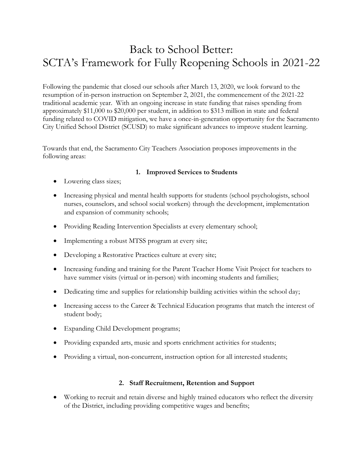## Back to School Better: SCTA's Framework for Fully Reopening Schools in 2021-22

Following the pandemic that closed our schools after March 13, 2020, we look forward to the resumption of in-person instruction on September 2, 2021, the commencement of the 2021-22 traditional academic year. With an ongoing increase in state funding that raises spending from approximately \$11,000 to \$20,000 per student, in addition to \$313 million in state and federal funding related to COVID mitigation, we have a once-in-generation opportunity for the Sacramento City Unified School District (SCUSD) to make significant advances to improve student learning.

Towards that end, the Sacramento City Teachers Association proposes improvements in the following areas:

## **1. Improved Services to Students**

- Lowering class sizes;
- Increasing physical and mental health supports for students (school psychologists, school nurses, counselors, and school social workers) through the development, implementation and expansion of community schools;
- Providing Reading Intervention Specialists at every elementary school;
- Implementing a robust MTSS program at every site;
- Developing a Restorative Practices culture at every site;
- Increasing funding and training for the Parent Teacher Home Visit Project for teachers to have summer visits (virtual or in-person) with incoming students and families;
- Dedicating time and supplies for relationship building activities within the school day;
- Increasing access to the Career & Technical Education programs that match the interest of student body;
- Expanding Child Development programs;
- Providing expanded arts, music and sports enrichment activities for students;
- Providing a virtual, non-concurrent, instruction option for all interested students;

## **2. Staff Recruitment, Retention and Support**

• Working to recruit and retain diverse and highly trained educators who reflect the diversity of the District, including providing competitive wages and benefits;